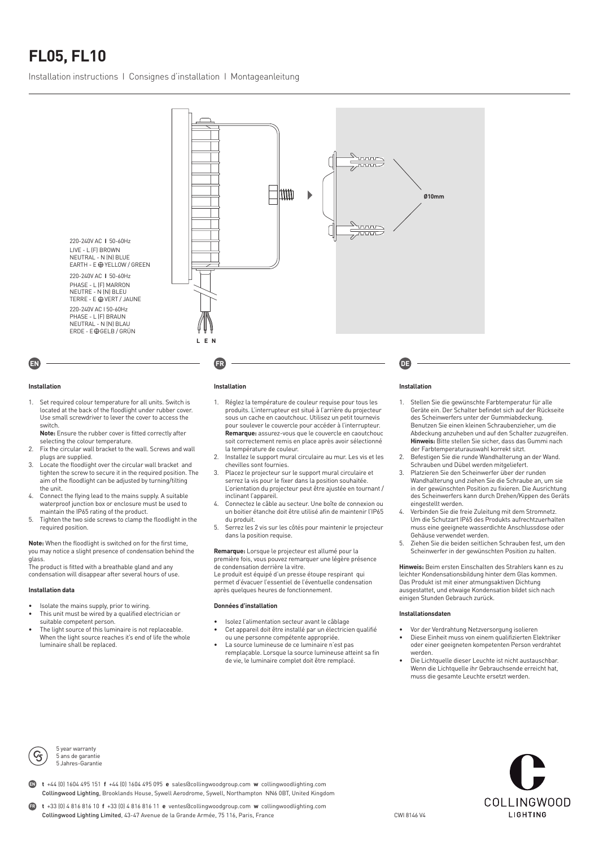# **FL05, FL10**

Installation instructions I Consignes d'installation I Montageanleitung



### **Installation**

1. Set required colour temperature for all units. Switch is located at the back of the floodlight under rubber cover. Use small screwdriver to lever the cover to access the switch.

**Note:** Ensure the rubber cover is fitted correctly after

- selecting the colour temperature. 2. Fix the circular wall bracket to the wall. Screws and wall plugs are supplied.
- 3. Locate the floodlight over the circular wall bracket and tighten the screw to secure it in the required position. The aim of the floodlight can be adjusted by turning/tilting the unit.
- 4. Connect the flying lead to the mains supply. A suitable waterproof junction box or enclosure must be used to maintain the IP65 rating of the product.
- 5. Tighten the two side screws to clamp the floodlight in the required position.

**Note:** When the floodlight is switched on for the first time, you may notice a slight presence of condensation behind the glass.

The product is fitted with a breathable gland and any condensation will disappear after several hours of use.

#### **Installation data**

- Isolate the mains supply, prior to wiring.
- This unit must be wired by a qualified electrician or suitable competent person.
- The light source of this luminaire is not replaceable. When the light source reaches it's end of life the whole luminaire shall be replaced.

#### **Installation**

- 1. Réglez la température de couleur requise pour tous les produits. L'interrupteur est situé à l'arrière du projecteur sous un cache en caoutchouc. Utilisez un petit tournevis pour soulever le couvercle pour accéder à l'interrupteur. **Remarque:** assurez-vous que le couvercle en caoutchouc soit correctement remis en place après avoir sélectionné la température de couleur.
- 2. Installez le support mural circulaire au mur. Les vis et les chevilles sont fournies.
- 3. Placez le projecteur sur le support mural circulaire et serrez la vis pour le fixer dans la position souhaitée. L'orientation du projecteur peut être ajustée en tournant / inclinant l'appareil.
- 4. Connectez le câble au secteur. Une boîte de connexion ou un boitier étanche doit être utilisé afin de maintenir l'IP65 du produit.
- 5. Serrez les 2 vis sur les côtés pour maintenir le projecteur dans la position requise.

**Remarque:** Lorsque le projecteur est allumé pour la première fois, vous pouvez remarquer une légère présence

de condensation derrière la vitre. Le produit est équipé d'un presse étoupe respirant qui permet d'évacuer l'essentiel de l'éventuelle condensation après quelques heures de fonctionnement.

#### **Données d'installation**

- Isolez l'alimentation secteur avant le câblage
- Cet appareil doit être installé par un électricien qualifié ou une personne compétente appropriée.
- La source lumineuse de ce luminaire n'est pas remplaçable. Lorsque la source lumineuse atteint sa fin de vie, le luminaire complet doit être remplacé.

#### **Installation**

- 1. Stellen Sie die gewünschte Farbtemperatur für alle Geräte ein. Der Schalter befindet sich auf der Rückseite des Scheinwerfers unter der Gummiabdeckung. Benutzen Sie einen kleinen Schraubenzieher, um die Abdeckung anzuheben und auf den Schalter zuzugreifen. **Hinweis:** Bitte stellen Sie sicher, dass das Gummi nach der Farbtemperaturauswahl korrekt sitzt.
- 2. Befestigen Sie die runde Wandhalterung an der Wand. Schrauben und Dübel werden mitgeliefert.
- 3. Platzieren Sie den Scheinwerfer über der runden Wandhalterung und ziehen Sie die Schraube an, um sie in der gewünschten Position zu fixieren. Die Ausrichtung des Scheinwerfers kann durch Drehen/Kippen des Geräts eingestellt werden.
- 4. Verbinden Sie die freie Zuleitung mit dem Stromnetz. Um die Schutzart IP65 des Produkts aufrechtzuerhalten muss eine geeignete wasserdichte Anschlussdose oder Gehäuse verwendet werden.
- 5. Ziehen Sie die beiden seitlichen Schrauben fest, um den Scheinwerfer in der gewünschten Position zu halten.

**Hinweis:** Beim ersten Einschalten des Strahlers kann es zu leichter Kondensationsbildung hinter dem Glas kommen. Das Produkt ist mit einer atmungsaktiven Dichtung ausgestattet, und etwaige Kondensation bildet sich nach einigen Stunden Gebrauch zurück.

#### **Installationsdaten**

- Vor der Verdrahtung Netzversorgung isolieren • Diese Einheit muss von einem qualifizierten Elektriker oder einer geeigneten kompetenten Person verdrahtet werden.
- Die Lichtquelle dieser Leuchte ist nicht austauschbar. Wenn die Lichtquelle ihr Gebrauchsende erreicht hat, muss die gesamte Leuchte ersetzt werden.



5 year warranty 5 ans de garantie 5 Jahres-Garantie

**t** +44 (0) 1604 495 151 **f** +44 (0) 1604 495 095 **e** sales@collingwoodgroup.com **w** collingwoodlighting.com Collingwood Lighting, Brooklands House, Sywell Aerodrome, Sywell, Northampton NN6 0BT, United Kingdom **EN**



**t** +33 (0) 4 816 816 10 **f** +33 (0) 4 816 816 11 **e** ventes@collingwoodgroup.com **w** collingwoodlighting.com Collingwood Lighting Limited, 43-47 Avenue de la Grande Armée, 75 116, Paris, France **FR**